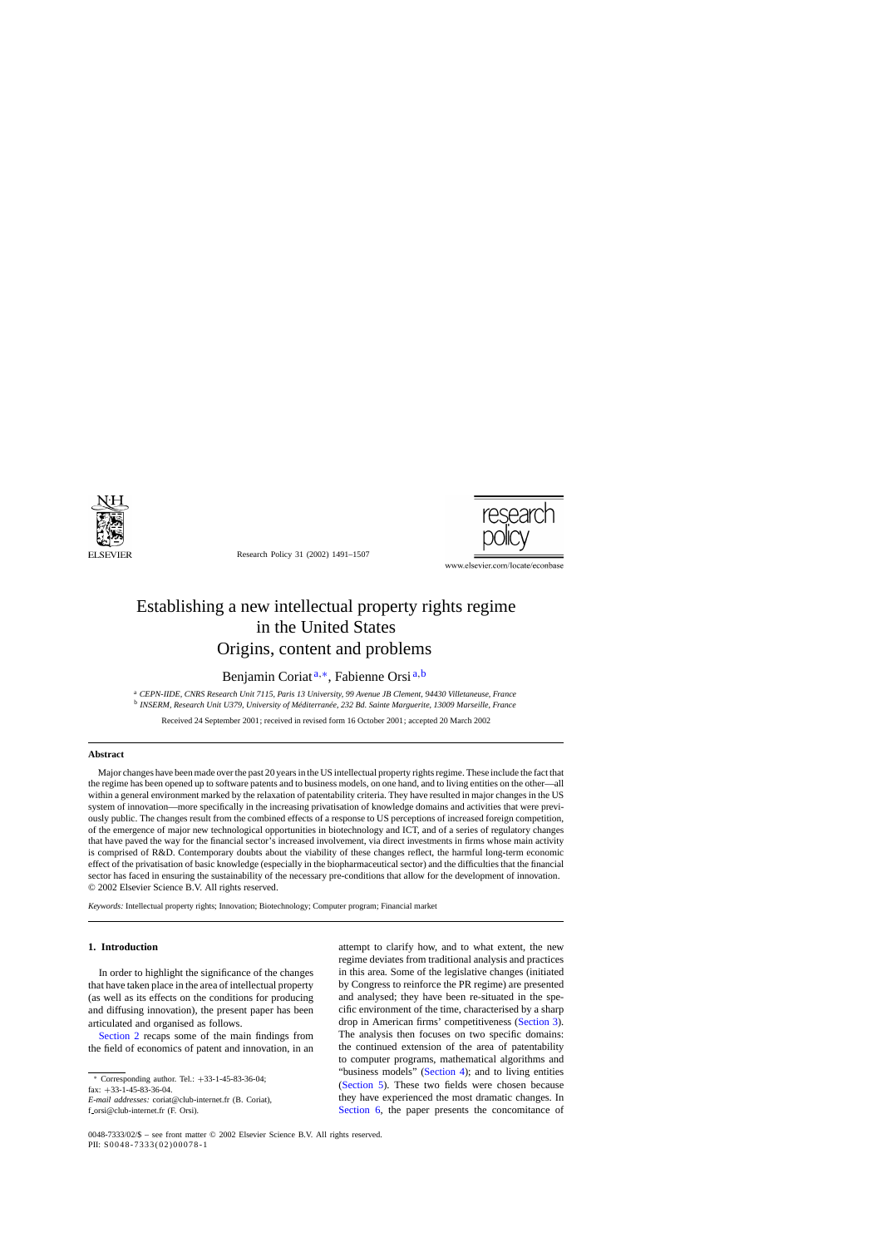

Research Policy 31 (2002) 1491–1507



www.elsevier.com/locate/econbase

# Establishing a new intellectual property rights regime in the United States Origins, content and problems

Benjamin Coriat<sup>a,∗</sup>, Fabienne Orsi<sup>a,b</sup>

<sup>a</sup> *CEPN-IIDE, CNRS Research Unit 7115, Paris 13 University, 99 Avenue JB Clement, 94430 Villetaneuse, France* <sup>b</sup> *INSERM, Research Unit U379, University of Méditerranée, 232 Bd. Sainte Marguerite, 13009 Marseille, France*

Received 24 September 2001; received in revised form 16 October 2001; accepted 20 March 2002

#### **Abstract**

Major changes have been made over the past 20 years in the US intellectual property rights regime. These include the fact that the regime has been opened up to software patents and to business models, on one hand, and to living entities on the other—all within a general environment marked by the relaxation of patentability criteria. They have resulted in major changes in the US system of innovation—more specifically in the increasing privatisation of knowledge domains and activities that were previously public. The changes result from the combined effects of a response to US perceptions of increased foreign competition, of the emergence of major new technological opportunities in biotechnology and ICT, and of a series of regulatory changes that have paved the way for the financial sector's increased involvement, via direct investments in firms whose main activity is comprised of R&D. Contemporary doubts about the viability of these changes reflect, the harmful long-term economic effect of the privatisation of basic knowledge (especially in the biopharmaceutical sector) and the difficulties that the financial sector has faced in ensuring the sustainability of the necessary pre-conditions that allow for the development of innovation. © 2002 Elsevier Science B.V. All rights reserved.

*Keywords:* Intellectual property rights; Innovation; Biotechnology; Computer program; Financial market

#### **1. Introduction**

In order to highlight the significance of the changes that have taken place in the area of intellectual property (as well as its effects on the conditions for producing and diffusing innovation), the present paper has been articulated and organised as follows.

[Section 2](#page-1-0) recaps some of the main findings from the field of economics of patent and innovation, in an attempt to clarify how, and to what extent, the new regime deviates from traditional analysis and practices in this area*.* Some of the legislative changes (initiated by Congress to reinforce the PR regime) are presented and analysed; they have been re-situated in the specific environment of the time, characterised by a sharp drop in American firms' competitiveness ([Section 3\).](#page--1-0) The analysis then focuses on two specific domains: the continued extension of the area of patentability to computer programs, mathematical algorithms and "business models" [\(Section 4\);](#page--1-0) and to living entities ([Section 5\).](#page--1-0) These two fields were chosen because they have experienced the most dramatic changes. In [Section 6,](#page--1-0) the paper presents the concomitance of

Corresponding author. Tel.:  $+33-1-45-83-36-04$ ;

fax: +33-1-45-83-36-04.

*E-mail addresses:* coriat@club-internet.fr (B. Coriat), f orsi@club-internet.fr (F. Orsi).

<sup>0048-7333/02/\$ –</sup> see front matter © 2002 Elsevier Science B.V. All rights reserved. PII: S0048-7333(02)00078-1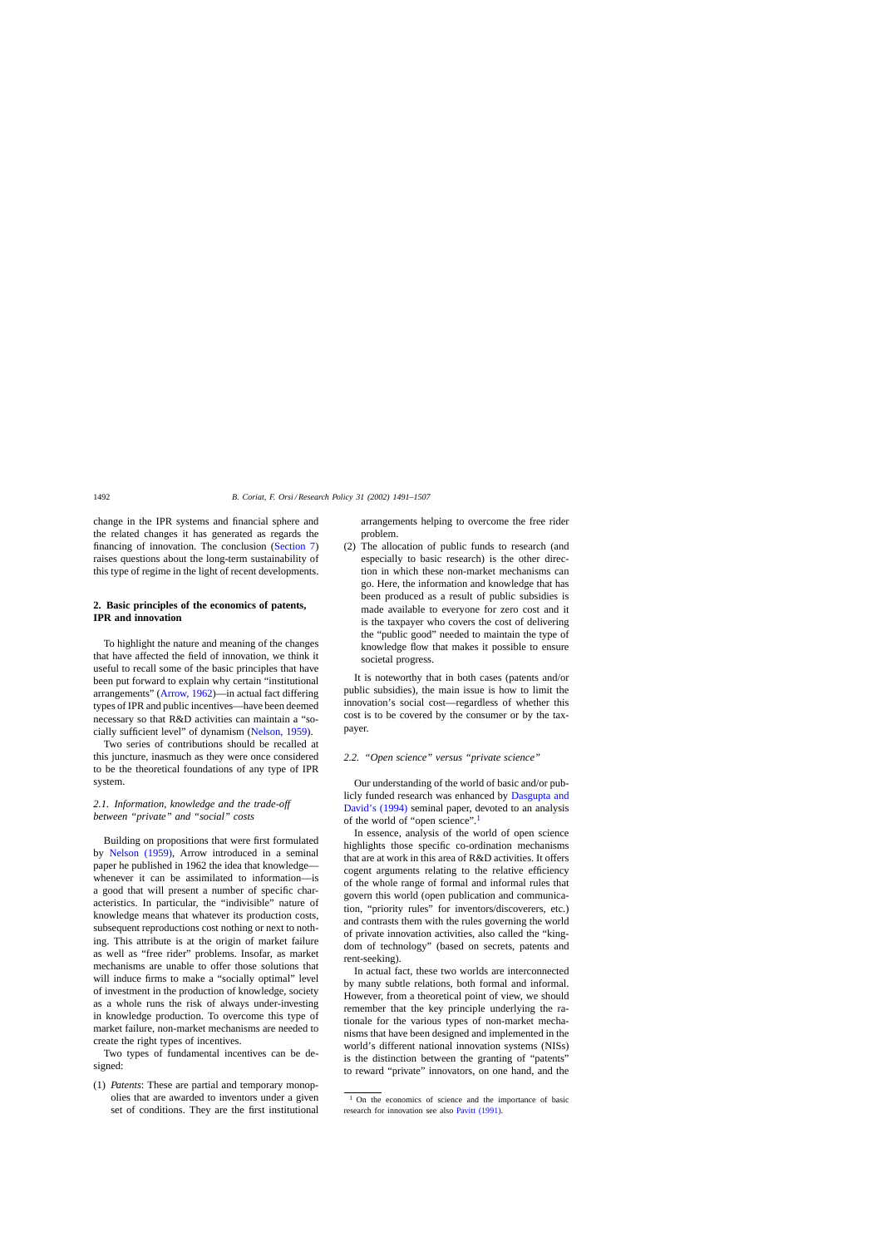<span id="page-1-0"></span>change in the IPR systems and financial sphere and the related changes it has generated as regards the financing of innovation. The conclusion [\(Section 7\)](#page--1-0) raises questions about the long-term sustainability of this type of regime in the light of recent developments.

### **2. Basic principles of the economics of patents, IPR and innovation**

To highlight the nature and meaning of the changes that have affected the field of innovation, we think it useful to recall some of the basic principles that have been put forward to explain why certain "institutional arrangements" [\(Arrow, 1962\)—](#page--1-0)in actual fact differing types of IPR and public incentives—have been deemed necessary so that R&D activities can maintain a "socially sufficient level" of dynamism ([Nelson, 1959\).](#page--1-0)

Two series of contributions should be recalled at this juncture, inasmuch as they were once considered to be the theoretical foundations of any type of IPR system.

### *2.1. Information, knowledge and the trade-off between "private" and "social" costs*

Building on propositions that were first formulated by [Nelson \(1959\),](#page--1-0) Arrow introduced in a seminal paper he published in 1962 the idea that knowledge whenever it can be assimilated to information—is a good that will present a number of specific characteristics. In particular, the "indivisible" nature of knowledge means that whatever its production costs, subsequent reproductions cost nothing or next to nothing. This attribute is at the origin of market failure as well as "free rider" problems. Insofar, as market mechanisms are unable to offer those solutions that will induce firms to make a "socially optimal" level of investment in the production of knowledge, society as a whole runs the risk of always under-investing in knowledge production. To overcome this type of market failure, non-market mechanisms are needed to create the right types of incentives.

Two types of fundamental incentives can be designed:

(1) *Patents*: These are partial and temporary monopolies that are awarded to inventors under a given set of conditions. They are the first institutional arrangements helping to overcome the free rider problem.

(2) The allocation of public funds to research (and especially to basic research) is the other direction in which these non-market mechanisms can go. Here, the information and knowledge that has been produced as a result of public subsidies is made available to everyone for zero cost and it is the taxpayer who covers the cost of delivering the "public good" needed to maintain the type of knowledge flow that makes it possible to ensure societal progress.

It is noteworthy that in both cases (patents and/or public subsidies), the main issue is how to limit the innovation's social cost—regardless of whether this cost is to be covered by the consumer or by the taxpayer.

#### *2.2. "Open science" versus "private science"*

Our understanding of the world of basic and/or publicly funded research was enhanced by [Dasgupta and](#page--1-0) [David's \(1994\)](#page--1-0) seminal paper, devoted to an analysis of the world of "open science".<sup>1</sup>

In essence, analysis of the world of open science highlights those specific co-ordination mechanisms that are at work in this area of R&D activities. It offers cogent arguments relating to the relative efficiency of the whole range of formal and informal rules that govern this world (open publication and communication, "priority rules" for inventors/discoverers, etc.) and contrasts them with the rules governing the world of private innovation activities, also called the "kingdom of technology" (based on secrets, patents and rent-seeking).

In actual fact, these two worlds are interconnected by many subtle relations, both formal and informal. However, from a theoretical point of view, we should remember that the key principle underlying the rationale for the various types of non-market mechanisms that have been designed and implemented in the world's different national innovation systems (NISs) is the distinction between the granting of "patents" to reward "private" innovators, on one hand, and the

<sup>1</sup> On the economics of science and the importance of basic research for innovation see also [Pavitt \(1991\).](#page--1-0)